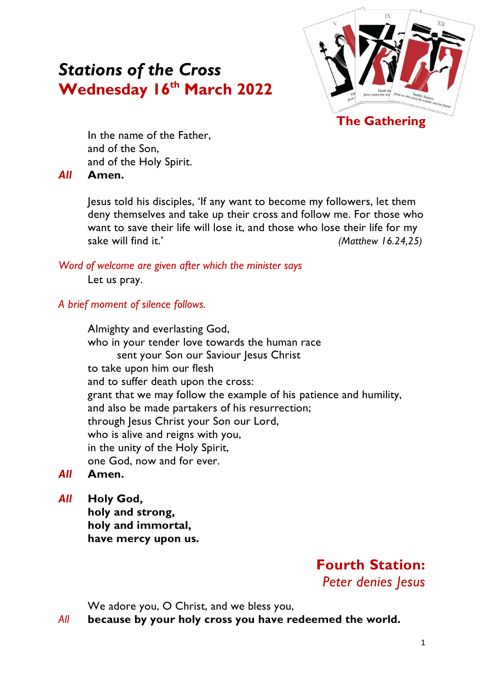# *Stations of the Cross* **Wednesday 16 th March 2022**



In the name of the Father, and of the Son, and of the Holy Spirit.

#### *All* **Amen.**

Jesus told his disciples, 'If any want to become my followers, let them deny themselves and take up their cross and follow me. For those who want to save their life will lose it, and those who lose their life for my sake will find it.' *(Matthew 16.24,25)*

#### *Word of welcome are given after which the minister says*

Let us pray.

#### *A brief moment of silence follows.*

Almighty and everlasting God, who in your tender love towards the human race sent your Son our Saviour Jesus Christ to take upon him our flesh and to suffer death upon the cross: grant that we may follow the example of his patience and humility, and also be made partakers of his resurrection; through Jesus Christ your Son our Lord, who is alive and reigns with you, in the unity of the Holy Spirit, one God, now and for ever.

- *All* **Amen.**
- *All* **Holy God,**

**holy and strong, holy and immortal, have mercy upon us.**

> **Fourth Station:**  *Peter denies Jesus*

We adore you, O Christ, and we bless you,

*All* **because by your holy cross you have redeemed the world.**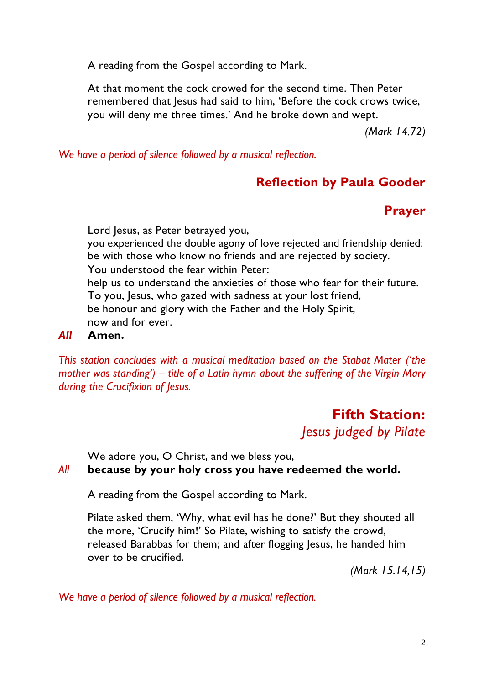A reading from the Gospel according to Mark.

At that moment the cock crowed for the second time. Then Peter remembered that Jesus had said to him, 'Before the cock crows twice, you will deny me three times.' And he broke down and wept.

*(Mark 14.72)*

*We have a period of silence followed by a musical reflection.*

## **Reflection by Paula Gooder**

### **Prayer**

Lord Jesus, as Peter betrayed you, you experienced the double agony of love rejected and friendship denied: be with those who know no friends and are rejected by society. You understood the fear within Peter: help us to understand the anxieties of those who fear for their future. To you, Jesus, who gazed with sadness at your lost friend, be honour and glory with the Father and the Holy Spirit, now and for ever.

#### *All* **Amen.**

*This station concludes with a musical meditation based on the Stabat Mater ('the mother was standing') – title of a Latin hymn about the suffering of the Virgin Mary during the Crucifixion of Jesus.*

# **Fifth Station:**  *Jesus judged by Pilate*

We adore you, O Christ, and we bless you,

### *All* **because by your holy cross you have redeemed the world.**

A reading from the Gospel according to Mark.

Pilate asked them, 'Why, what evil has he done?' But they shouted all the more, 'Crucify him!' So Pilate, wishing to satisfy the crowd, released Barabbas for them; and after flogging Jesus, he handed him over to be crucified.

*(Mark 15.14,15)*

*We have a period of silence followed by a musical reflection.*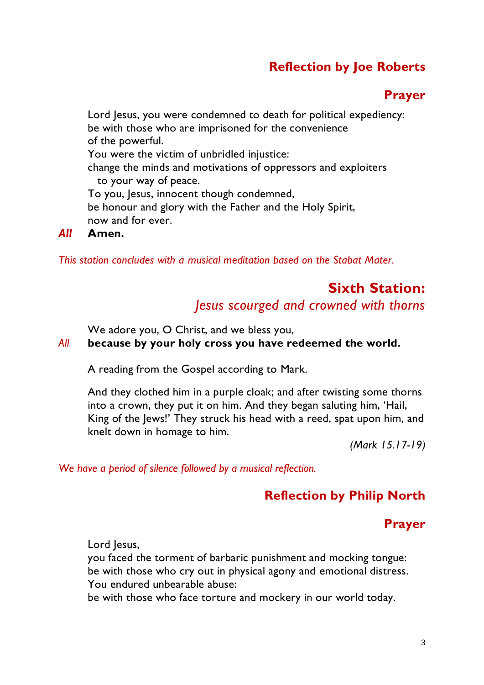# **Reflection by Joe Roberts**

### **Prayer**

Lord Jesus, you were condemned to death for political expediency: be with those who are imprisoned for the convenience of the powerful. You were the victim of unbridled injustice: change the minds and motivations of oppressors and exploiters to your way of peace. To you, Jesus, innocent though condemned, be honour and glory with the Father and the Holy Spirit, now and for ever.

#### *All* **Amen.**

*This station concludes with a musical meditation based on the Stabat Mater.*

### **Sixth Station:**  *Jesus scourged and crowned with thorns*

We adore you, O Christ, and we bless you,

#### *All* **because by your holy cross you have redeemed the world.**

A reading from the Gospel according to Mark.

And they clothed him in a purple cloak; and after twisting some thorns into a crown, they put it on him. And they began saluting him, 'Hail, King of the Jews!' They struck his head with a reed, spat upon him, and knelt down in homage to him.

*(Mark 15.17-19)*

*We have a period of silence followed by a musical reflection.*

### **Reflection by Philip North**

### **Prayer**

Lord Jesus,

you faced the torment of barbaric punishment and mocking tongue: be with those who cry out in physical agony and emotional distress. You endured unbearable abuse:

be with those who face torture and mockery in our world today.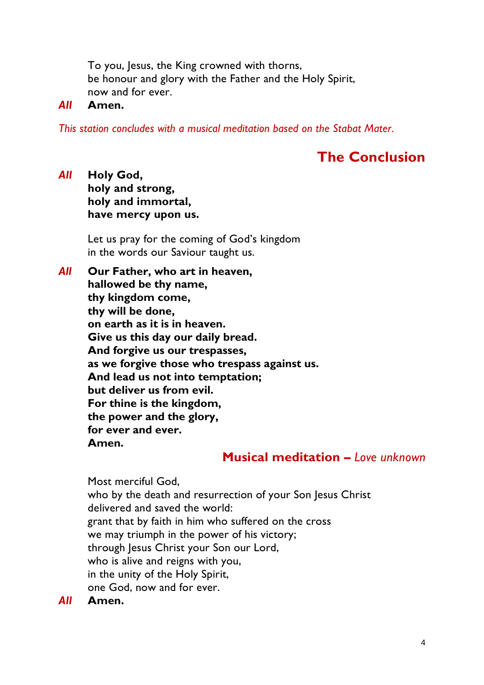To you, Jesus, the King crowned with thorns, be honour and glory with the Father and the Holy Spirit, now and for ever.

#### *All* **Amen.**

*This station concludes with a musical meditation based on the Stabat Mater.*

# **The Conclusion**

*All* **Holy God, holy and strong, holy and immortal, have mercy upon us.**

> Let us pray for the coming of God's kingdom in the words our Saviour taught us.

*All* **Our Father, who art in heaven, hallowed be thy name, thy kingdom come, thy will be done, on earth as it is in heaven. Give us this day our daily bread. And forgive us our trespasses, as we forgive those who trespass against us. And lead us not into temptation; but deliver us from evil. For thine is the kingdom, the power and the glory, for ever and ever. Amen.**

### **Musical meditation –** *Love unknown*

Most merciful God, who by the death and resurrection of your Son Jesus Christ delivered and saved the world: grant that by faith in him who suffered on the cross we may triumph in the power of his victory; through Jesus Christ your Son our Lord, who is alive and reigns with you, in the unity of the Holy Spirit, one God, now and for ever.

*All* **Amen.**